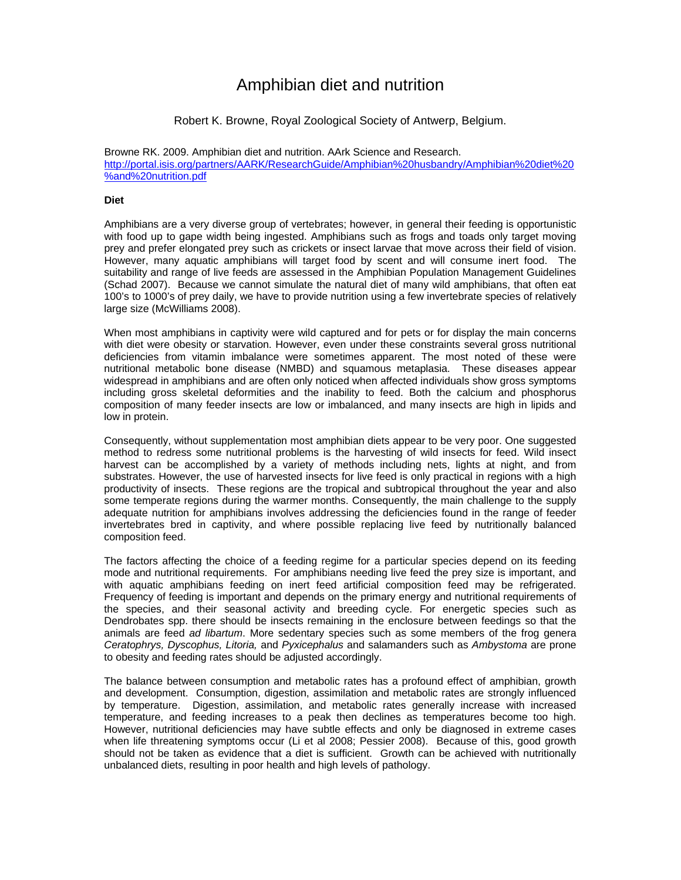# Amphibian diet and nutrition

## Robert K. Browne, Royal Zoological Society of Antwerp, Belgium.

Browne RK. 2009. Amphibian diet and nutrition. AArk Science and Research. http://portal.isis.org/partners/AARK/ResearchGuide/Amphibian%20husbandry/Amphibian%20diet%20 %and%20nutrition.pdf

## **Diet**

Amphibians are a very diverse group of vertebrates; however, in general their feeding is opportunistic with food up to gape width being ingested. Amphibians such as frogs and toads only target moving prey and prefer elongated prey such as crickets or insect larvae that move across their field of vision. However, many aquatic amphibians will target food by scent and will consume inert food. The suitability and range of live feeds are assessed in the Amphibian Population Management Guidelines (Schad 2007). Because we cannot simulate the natural diet of many wild amphibians, that often eat 100's to 1000's of prey daily, we have to provide nutrition using a few invertebrate species of relatively large size (McWilliams 2008).

When most amphibians in captivity were wild captured and for pets or for display the main concerns with diet were obesity or starvation. However, even under these constraints several gross nutritional deficiencies from vitamin imbalance were sometimes apparent. The most noted of these were nutritional metabolic bone disease (NMBD) and squamous metaplasia. These diseases appear widespread in amphibians and are often only noticed when affected individuals show gross symptoms including gross skeletal deformities and the inability to feed. Both the calcium and phosphorus composition of many feeder insects are low or imbalanced, and many insects are high in lipids and low in protein.

Consequently, without supplementation most amphibian diets appear to be very poor. One suggested method to redress some nutritional problems is the harvesting of wild insects for feed. Wild insect harvest can be accomplished by a variety of methods including nets, lights at night, and from substrates. However, the use of harvested insects for live feed is only practical in regions with a high productivity of insects. These regions are the tropical and subtropical throughout the year and also some temperate regions during the warmer months. Consequently, the main challenge to the supply adequate nutrition for amphibians involves addressing the deficiencies found in the range of feeder invertebrates bred in captivity, and where possible replacing live feed by nutritionally balanced composition feed.

The factors affecting the choice of a feeding regime for a particular species depend on its feeding mode and nutritional requirements. For amphibians needing live feed the prey size is important, and with aquatic amphibians feeding on inert feed artificial composition feed may be refrigerated. Frequency of feeding is important and depends on the primary energy and nutritional requirements of the species, and their seasonal activity and breeding cycle. For energetic species such as Dendrobates spp. there should be insects remaining in the enclosure between feedings so that the animals are feed *ad libartum*. More sedentary species such as some members of the frog genera *Ceratophrys, Dyscophus, Litoria,* and *Pyxicephalus* and salamanders such as *Ambystoma* are prone to obesity and feeding rates should be adjusted accordingly.

The balance between consumption and metabolic rates has a profound effect of amphibian, growth and development. Consumption, digestion, assimilation and metabolic rates are strongly influenced by temperature. Digestion, assimilation, and metabolic rates generally increase with increased temperature, and feeding increases to a peak then declines as temperatures become too high. However, nutritional deficiencies may have subtle effects and only be diagnosed in extreme cases when life threatening symptoms occur (Li et al 2008; Pessier 2008). Because of this, good growth should not be taken as evidence that a diet is sufficient. Growth can be achieved with nutritionally unbalanced diets, resulting in poor health and high levels of pathology.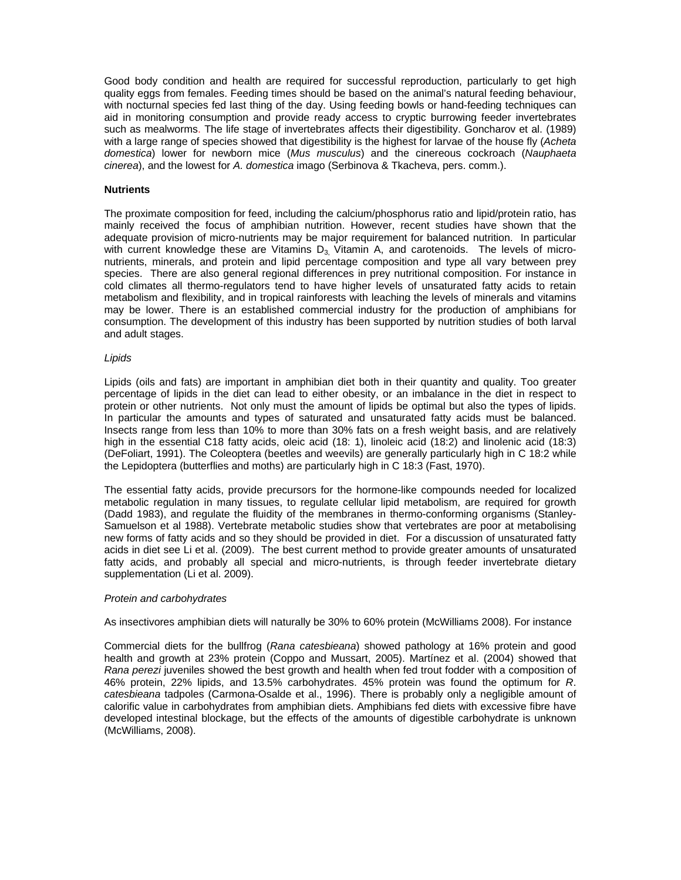Good body condition and health are required for successful reproduction, particularly to get high quality eggs from females. Feeding times should be based on the animal's natural feeding behaviour, with nocturnal species fed last thing of the day. Using feeding bowls or hand-feeding techniques can aid in monitoring consumption and provide ready access to cryptic burrowing feeder invertebrates such as mealworms. The life stage of invertebrates affects their digestibility. Goncharov et al. (1989) with a large range of species showed that digestibility is the highest for larvae of the house fly (*Acheta domestica*) lower for newborn mice (*Mus musculus*) and the cinereous cockroach (*Nauphaeta cinerea*), and the lowest for *A. domestica* imago (Serbinova & Tkacheva, pers. comm.).

#### **Nutrients**

The proximate composition for feed, including the calcium/phosphorus ratio and lipid/protein ratio, has mainly received the focus of amphibian nutrition. However, recent studies have shown that the adequate provision of micro-nutrients may be major requirement for balanced nutrition. In particular with current knowledge these are Vitamins  $D_3$ , Vitamin A, and carotenoids. The levels of micronutrients, minerals, and protein and lipid percentage composition and type all vary between prey species. There are also general regional differences in prey nutritional composition. For instance in cold climates all thermo-regulators tend to have higher levels of unsaturated fatty acids to retain metabolism and flexibility, and in tropical rainforests with leaching the levels of minerals and vitamins may be lower. There is an established commercial industry for the production of amphibians for consumption. The development of this industry has been supported by nutrition studies of both larval and adult stages.

#### *Lipids*

Lipids (oils and fats) are important in amphibian diet both in their quantity and quality. Too greater percentage of lipids in the diet can lead to either obesity, or an imbalance in the diet in respect to protein or other nutrients. Not only must the amount of lipids be optimal but also the types of lipids. In particular the amounts and types of saturated and unsaturated fatty acids must be balanced. Insects range from less than 10% to more than 30% fats on a fresh weight basis, and are relatively high in the essential C18 fatty acids, oleic acid (18: 1), linoleic acid (18:2) and linolenic acid (18:3) (DeFoliart, 1991). The Coleoptera (beetles and weevils) are generally particularly high in C 18:2 while the Lepidoptera (butterflies and moths) are particularly high in C 18:3 (Fast, 1970).

The essential fatty acids, provide precursors for the hormone-like compounds needed for localized metabolic regulation in many tissues, to regulate cellular lipid metabolism, are required for growth (Dadd 1983), and regulate the fluidity of the membranes in thermo-conforming organisms (Stanley-Samuelson et al 1988). Vertebrate metabolic studies show that vertebrates are poor at metabolising new forms of fatty acids and so they should be provided in diet. For a discussion of unsaturated fatty acids in diet see Li et al. (2009). The best current method to provide greater amounts of unsaturated fatty acids, and probably all special and micro-nutrients, is through feeder invertebrate dietary supplementation (Li et al. 2009).

#### *Protein and carbohydrates*

As insectivores amphibian diets will naturally be 30% to 60% protein (McWilliams 2008). For instance

Commercial diets for the bullfrog (*Rana catesbieana*) showed pathology at 16% protein and good health and growth at 23% protein (Coppo and Mussart, 2005). Martínez et al. (2004) showed that *Rana perezi* juveniles showed the best growth and health when fed trout fodder with a composition of 46% protein, 22% lipids, and 13.5% carbohydrates. 45% protein was found the optimum for *R*. *catesbieana* tadpoles (Carmona-Osalde et al., 1996). There is probably only a negligible amount of calorific value in carbohydrates from amphibian diets. Amphibians fed diets with excessive fibre have developed intestinal blockage, but the effects of the amounts of digestible carbohydrate is unknown (McWilliams, 2008).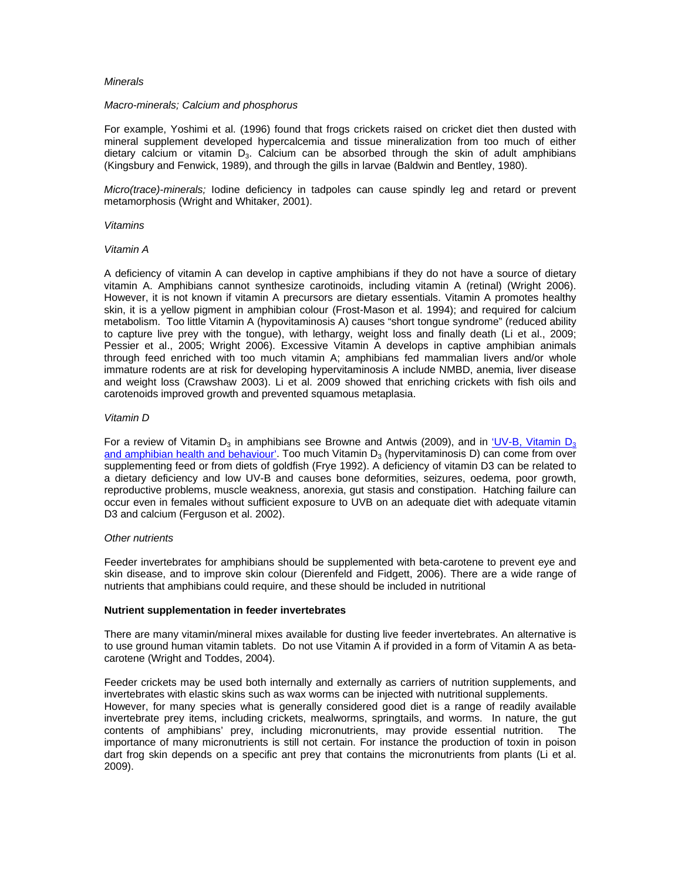#### *Minerals*

#### *Macro-minerals; Calcium and phosphorus*

For example, Yoshimi et al. (1996) found that frogs crickets raised on cricket diet then dusted with mineral supplement developed hypercalcemia and tissue mineralization from too much of either dietary calcium or vitamin  $D_3$ . Calcium can be absorbed through the skin of adult amphibians (Kingsbury and Fenwick, 1989), and through the gills in larvae (Baldwin and Bentley, 1980).

*Micro(trace)-minerals;* Iodine deficiency in tadpoles can cause spindly leg and retard or prevent metamorphosis (Wright and Whitaker, 2001).

#### *Vitamins*

## *Vitamin A*

A deficiency of vitamin A can develop in captive amphibians if they do not have a source of dietary vitamin A. Amphibians cannot synthesize carotinoids, including vitamin A (retinal) (Wright 2006). However, it is not known if vitamin A precursors are dietary essentials. Vitamin A promotes healthy skin, it is a yellow pigment in amphibian colour (Frost-Mason et al. 1994); and required for calcium metabolism. Too little Vitamin A (hypovitaminosis A) causes "short tongue syndrome" (reduced ability to capture live prey with the tongue), with lethargy, weight loss and finally death (Li et al., 2009; Pessier et al., 2005; Wright 2006). Excessive Vitamin A develops in captive amphibian animals through feed enriched with too much vitamin A; amphibians fed mammalian livers and/or whole immature rodents are at risk for developing hypervitaminosis A include NMBD, anemia, liver disease and weight loss (Crawshaw 2003). Li et al. 2009 showed that enriching crickets with fish oils and carotenoids improved growth and prevented squamous metaplasia.

## *Vitamin D*

For a review of Vitamin  $D_3$  in amphibians see Browne and Antwis (2009), and in 'UV-B, Vitamin  $D_3$ and amphibian health and behaviour'. Too much Vitamin  $D_3$  (hypervitaminosis D) can come from over supplementing feed or from diets of goldfish (Frye 1992). A deficiency of vitamin D3 can be related to a dietary deficiency and low UV-B and causes bone deformities, seizures, oedema, poor growth, reproductive problems, muscle weakness, anorexia, gut stasis and constipation. Hatching failure can occur even in females without sufficient exposure to UVB on an adequate diet with adequate vitamin D3 and calcium (Ferguson et al. 2002).

## *Other nutrients*

Feeder invertebrates for amphibians should be supplemented with beta-carotene to prevent eye and skin disease, and to improve skin colour (Dierenfeld and Fidgett, 2006). There are a wide range of nutrients that amphibians could require, and these should be included in nutritional

## **Nutrient supplementation in feeder invertebrates**

There are many vitamin/mineral mixes available for dusting live feeder invertebrates. An alternative is to use ground human vitamin tablets. Do not use Vitamin A if provided in a form of Vitamin A as betacarotene (Wright and Toddes, 2004).

Feeder crickets may be used both internally and externally as carriers of nutrition supplements, and invertebrates with elastic skins such as wax worms can be injected with nutritional supplements. However, for many species what is generally considered good diet is a range of readily available invertebrate prey items, including crickets, mealworms, springtails, and worms. In nature, the gut contents of amphibians' prey, including micronutrients, may provide essential nutrition. The importance of many micronutrients is still not certain. For instance the production of toxin in poison dart frog skin depends on a specific ant prey that contains the micronutrients from plants (Li et al. 2009).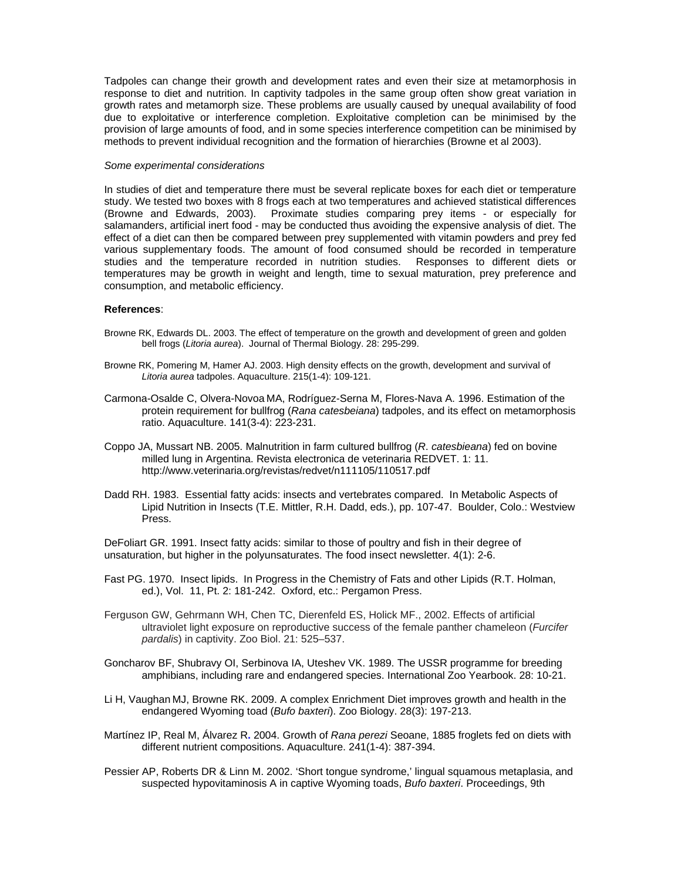Tadpoles can change their growth and development rates and even their size at metamorphosis in response to diet and nutrition. In captivity tadpoles in the same group often show great variation in growth rates and metamorph size. These problems are usually caused by unequal availability of food due to exploitative or interference completion. Exploitative completion can be minimised by the provision of large amounts of food, and in some species interference competition can be minimised by methods to prevent individual recognition and the formation of hierarchies (Browne et al 2003).

#### *Some experimental considerations*

In studies of diet and temperature there must be several replicate boxes for each diet or temperature study. We tested two boxes with 8 frogs each at two temperatures and achieved statistical differences (Browne and Edwards, 2003). Proximate studies comparing prey items - or especially for salamanders, artificial inert food - may be conducted thus avoiding the expensive analysis of diet. The effect of a diet can then be compared between prey supplemented with vitamin powders and prey fed various supplementary foods. The amount of food consumed should be recorded in temperature studies and the temperature recorded in nutrition studies. Responses to different diets or temperatures may be growth in weight and length, time to sexual maturation, prey preference and consumption, and metabolic efficiency.

#### **References**:

- Browne RK, Edwards DL. 2003. The effect of temperature on the growth and development of green and golden bell frogs (*Litoria aurea*). Journal of Thermal Biology. 28: 295-299.
- Browne RK, Pomering M, Hamer AJ. 2003. High density effects on the growth, development and survival of *Litoria aurea* tadpoles. Aquaculture. 215(1-4): 109-121.
- Carmona-Osalde C, Olvera-Novoa MA, Rodríguez-Serna M, Flores-Nava A. 1996. Estimation of the protein requirement for bullfrog (*Rana catesbeiana*) tadpoles, and its effect on metamorphosis ratio. Aquaculture. 141(3-4): 223-231.
- Coppo JA, Mussart NB. 2005. Malnutrition in farm cultured bullfrog (*R*. *catesbieana*) fed on bovine milled lung in Argentina. Revista electronica de veterinaria REDVET. 1: 11. http://www.veterinaria.org/revistas/redvet/n111105/110517.pdf
- Dadd RH. 1983. Essential fatty acids: insects and vertebrates compared. In Metabolic Aspects of Lipid Nutrition in Insects (T.E. Mittler, R.H. Dadd, eds.), pp. 107-47. Boulder, Colo.: Westview Press.

DeFoliart GR. 1991. Insect fatty acids: similar to those of poultry and fish in their degree of unsaturation, but higher in the polyunsaturates. The food insect newsletter. 4(1): 2-6.

- Fast PG. 1970. Insect lipids. In Progress in the Chemistry of Fats and other Lipids (R.T. Holman, ed.), Vol. 11, Pt. 2: 181-242. Oxford, etc.: Pergamon Press.
- Ferguson GW, Gehrmann WH, Chen TC, Dierenfeld ES, Holick MF., 2002. Effects of artificial ultraviolet light exposure on reproductive success of the female panther chameleon (*Furcifer pardalis*) in captivity. Zoo Biol. 21: 525–537.
- Goncharov BF, Shubravy OI, Serbinova IA, Uteshev VK. 1989. The USSR programme for breeding amphibians, including rare and endangered species. International Zoo Yearbook. 28: 10-21.
- Li H, Vaughan MJ, Browne RK. 2009. A complex Enrichment Diet improves growth and health in the endangered Wyoming toad (*Bufo baxteri*). Zoo Biology. 28(3): 197-213.
- Martínez IP, Real M, Álvarez R**.** 2004. Growth of *Rana perezi* Seoane, 1885 froglets fed on diets with different nutrient compositions. Aquaculture. 241(1-4): 387-394.
- Pessier AP, Roberts DR & Linn M. 2002. 'Short tongue syndrome,' lingual squamous metaplasia, and suspected hypovitaminosis A in captive Wyoming toads, *Bufo baxteri*. Proceedings, 9th